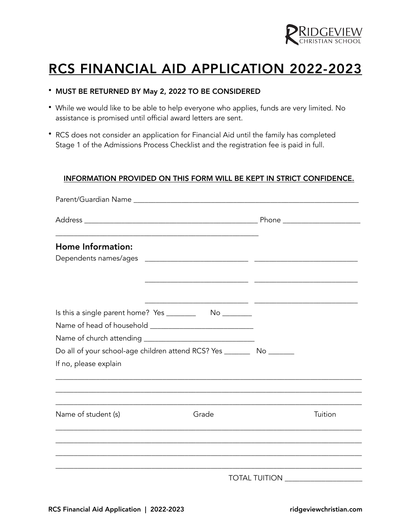

# RCS FINANCIAL AID APPLICATION 2022-2023

# • MUST BE RETURNED BY May 2, 2022 TO BE CONSIDERED

- While we would like to be able to help everyone who applies, funds are very limited. No assistance is promised until official award letters are sent.
- RCS does not consider an application for Financial Aid until the family has completed Stage 1 of the Admissions Process Checklist and the registration fee is paid in full.

### INFORMATION PROVIDED ON THIS FORM WILL BE KEPT IN STRICT CONFIDENCE.

| Home Information:                                                         |       |                      |         |
|---------------------------------------------------------------------------|-------|----------------------|---------|
|                                                                           |       |                      |         |
|                                                                           |       |                      |         |
|                                                                           |       |                      |         |
|                                                                           |       |                      |         |
|                                                                           |       |                      |         |
| Do all of your school-age children attend RCS? Yes __________ No ________ |       |                      |         |
| If no, please explain                                                     |       |                      |         |
| Name of student (s)                                                       | Grade |                      | Tuition |
|                                                                           |       |                      |         |
|                                                                           |       |                      |         |
|                                                                           |       | <b>TOTAL TUITION</b> |         |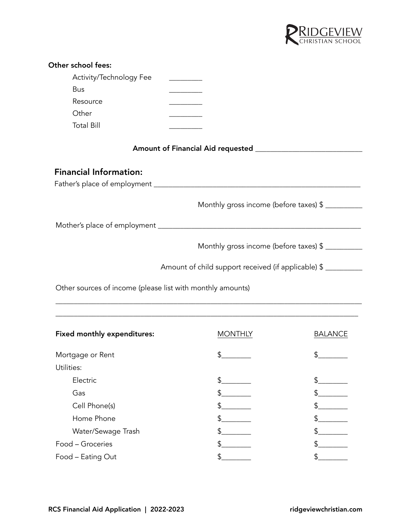

| Other school fees:                                         |                                                                                   |                |
|------------------------------------------------------------|-----------------------------------------------------------------------------------|----------------|
| Activity/Technology Fee                                    | <u> 1990 - Johann Barnett, f</u>                                                  |                |
| Bus                                                        |                                                                                   |                |
| Resource                                                   |                                                                                   |                |
| Other                                                      |                                                                                   |                |
| <b>Total Bill</b>                                          |                                                                                   |                |
|                                                            |                                                                                   |                |
| <b>Financial Information:</b>                              |                                                                                   |                |
|                                                            |                                                                                   |                |
|                                                            | Monthly gross income (before taxes) \$                                            |                |
|                                                            |                                                                                   |                |
|                                                            | Monthly gross income (before taxes) \$                                            |                |
|                                                            | Amount of child support received (if applicable) \$                               |                |
| Other sources of income (please list with monthly amounts) | ,我们也不能在这里的人,我们也不能在这里的人,我们也不能在这里的人,我们也不能在这里的人,我们也不能在这里的人,我们也不能在这里的人,我们也不能在这里的人,我们也 |                |
| <b>Fixed monthly expenditures:</b>                         | <b>MONTHLY</b>                                                                    | <b>BALANCE</b> |
| Mortgage or Rent                                           | \$                                                                                | \$             |
| Utilities:                                                 |                                                                                   |                |
| Electric                                                   | $\frac{1}{2}$                                                                     |                |
| Gas                                                        | \$                                                                                |                |
| Cell Phone(s)                                              | \$                                                                                |                |
| Home Phone                                                 |                                                                                   |                |
| Water/Sewage Trash                                         | \$                                                                                |                |
| Food - Groceries                                           |                                                                                   |                |
| Food - Eating Out                                          |                                                                                   |                |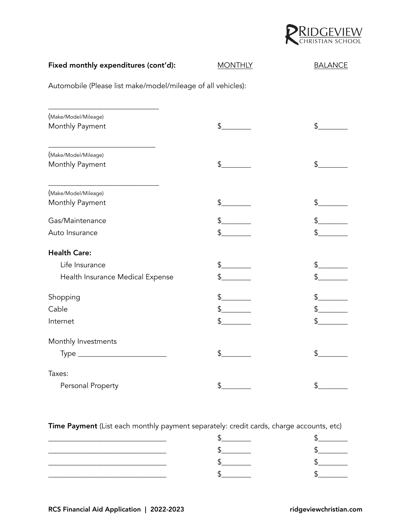

# Fixed monthly expenditures (cont'd): MONTHLY BALANCE Automobile (Please list make/model/mileage of all vehicles): \_\_\_\_\_\_\_\_\_\_\_\_\_\_\_\_\_\_\_\_\_\_\_\_\_\_\_\_\_\_ (Make/Model/Mileage) Monthly Payment \$\_\_\_\_\_\_\_\_ \$\_\_\_\_\_\_\_\_ \_\_\_\_\_\_\_\_\_\_\_\_\_\_\_\_\_\_\_\_\_\_\_\_\_\_\_\_\_ (Make/Model/Mileage) Monthly Payment 6 1908 10 10 10 10 10 10 10 10 10 11 12 13 14 15 16 17 18 19 19 19 19 19 19 19 19 19 19 19 19 1 \_\_\_\_\_\_\_\_\_\_\_\_\_\_\_\_\_\_\_\_\_\_\_\_\_\_\_\_\_\_ (Make/Model/Mileage) Monthly Payment \$\_\_\_\_\_\_\_\_ \$\_\_\_\_\_\_\_\_ Gas/Maintenance \$\_\_\_\_\_\_ \$\_\_\_\_\_\_ \$\_\_\_\_\_\_\_\_\_ \$\_\_\_\_\_\_\_\_ Auto Insurance  $\qquad \qquad \text{``}$ Health Care: Life Insurance \$\_\_\_\_\_\_\_\_ \$\_\_\_\_\_\_\_\_ Health Insurance Medical Expense \$\_\_\_\_\_\_\_\_ \$\_\_\_\_\_\_\_\_ Shopping  $\overline{\phantom{a}^2}$   $\overline{\phantom{a}^3}$   $\overline{\phantom{a}^3}$   $\overline{\phantom{a}^3}$   $\overline{\phantom{a}^3}$   $\overline{\phantom{a}^3}$   $\overline{\phantom{a}^3}$   $\overline{\phantom{a}^3}$   $\overline{\phantom{a}^3}$   $\overline{\phantom{a}^3}$   $\overline{\phantom{a}^3}$   $\overline{\phantom{a}^3}$   $\overline{\phantom{a}^3}$   $\overline{\phantom{a}^3}$   $\$ Cable \$\_\_\_\_\_\_\_\_ \$\_\_\_\_\_\_\_\_ Internet \$\_\_\_\_\_\_\_\_ \$\_\_\_\_\_\_\_\_ Monthly Investments Type \_\_\_\_\_\_\_\_\_\_\_\_\_\_\_\_\_\_\_\_\_\_\_\_ \$\_\_\_\_\_\_\_\_ \$\_\_\_\_\_\_\_\_ Taxes: Personal Property  $\text{S}$  \_\_\_\_\_\_\_ \$\_\_\_\_\_\_\_ \$\_\_\_\_\_\_\_

Time Payment (List each monthly payment separately: credit cards, charge accounts, etc)